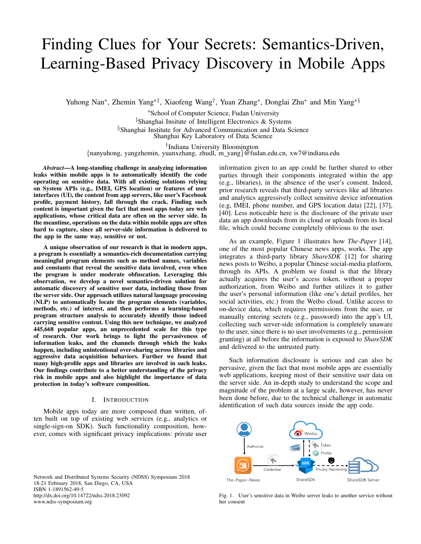# Finding Clues for Your Secrets: Semantics-Driven, Learning-Based Privacy Discovery in Mobile Apps

Yuhong Nan<sup>∗</sup>, Zhemin Yang<sup>∗‡</sup>, Xiaofeng Wang<sup>†</sup>, Yuan Zhang<sup>∗</sup>, Donglai Zhu<sup>∗</sup> and Min Yang<sup>∗§</sup>

<sup>∗</sup>School of Computer Science, Fudan University ‡Shanghai Insitute of Intelligent Electronics & Systems §Shanghai Institute for Advanced Communication and Data Science Shanghai Key Laboratory of Data Science

† Indiana University Bloomington

{nanyuhong, yangzhemin, yuanxzhang, zhudl, m yang}@fudan.edu.cn, xw7@indiana.edu

*Abstract*—A long-standing challenge in analyzing information leaks within mobile apps is to automatically identify the code operating on sensitive data. With all existing solutions relying on System APIs (e.g., IMEI, GPS location) or features of user interfaces (UI), the content from app servers, like user's Facebook profile, payment history, fall through the crack. Finding such content is important given the fact that most apps today are web applications, whose critical data are often on the server side. In the meantime, operations on the data within mobile apps are often hard to capture, since all server-side information is delivered to the app in the same way, sensitive or not.

A unique observation of our research is that in modern apps, a program is essentially a semantics-rich documentation carrying meaningful program elements such as method names, variables and constants that reveal the sensitive data involved, even when the program is under moderate obfuscation. Leveraging this observation, we develop a novel semantics-driven solution for automatic discovery of sensitive user data, including those from the server side. Our approach utilizes natural language processing (NLP) to automatically locate the program elements (variables, methods, etc.) of interest, and then performs a learning-based program structure analysis to accurately identify those indeed carrying sensitive content. Using this new technique, we analyzed 445,668 popular apps, an unprecedented scale for this type of research. Our work brings to light the pervasiveness of information leaks, and the channels through which the leaks happen, including unintentional over-sharing across libraries and aggressive data acquisition behaviors. Further we found that many high-profile apps and libraries are involved in such leaks. Our findings contribute to a better understanding of the privacy risk in mobile apps and also highlight the importance of data protection in today's software composition.

#### I. INTRODUCTION

Mobile apps today are more composed than written, often built on top of existing web services (e.g., analytics or single-sign-on SDK). Such functionality composition, however, comes with significant privacy implications: private user

Network and Distributed Systems Security (NDSS) Symposium 2018 18-21 February 2018, San Diego, CA, USA ISBN 1-1891562-49-5 http://dx.doi.org/10.14722/ndss.2018.23092 www.ndss-symposium.org

information given to an app could be further shared to other parties through their components integrated within the app (e.g., libraries), in the absence of the user's consent. Indeed, prior research reveals that third-party services like ad libraries and analytics aggressively collect sensitive device information (e.g, IMEI, phone number, and GPS location data) [22], [37], [40]. Less noticeable here is the disclosure of the private user data an app downloads from its cloud or uploads from its local file, which could become completely oblivious to the user.

As an example, Figure 1 illustrates how *The-Paper* [14], one of the most popular Chinese news apps, works. The app integrates a third-party library *ShareSDK* [12] for sharing news posts to Weibo, a popular Chinese social-media platform, through its APIs. A problem we found is that the library actually acquires the user's access token, without a proper authorization, from Weibo and further utilizes it to gather the user's personal information (like one's detail profiles, her social activities, etc.) from the Weibo cloud. Unlike access to on-device data, which requires permissions from the user, or manually entering secrets (e.g., password) into the app's UI, collecting such server-side information is completely unaware to the user, since there is no user involvements (e.g., permission granting) at all before the information is exposed to *ShareSDK* and delivered to the untrusted party.

Such information disclosure is serious and can also be pervasive, given the fact that most mobile apps are essentially web applications, keeping most of their sensitive user data on the server side. An in-depth study to understand the scope and magnitude of the problem at a large scale, however, has never been done before, due to the technical challenge in automatic identification of such data sources inside the app code.



Fig. 1. User's sensitive data in Weibo server leaks to another service without her consent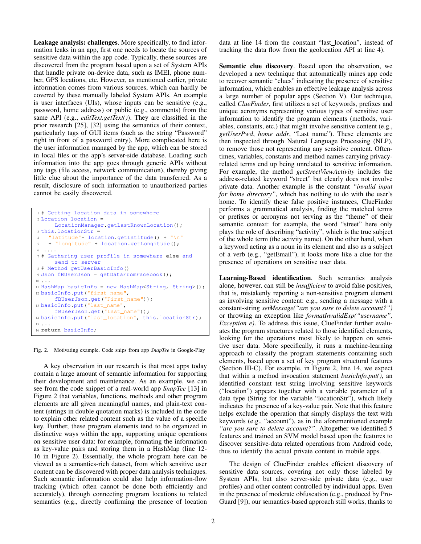Leakage analysis: challenges. More specifically, to find information leaks in an app, first one needs to locate the sources of sensitive data within the app code. Typically, these sources are discovered from the program based upon a set of System APIs that handle private on-device data, such as IMEI, phone number, GPS locations, etc. However, as mentioned earlier, private information comes from various sources, which can hardly be covered by these manually labeled System APIs. An example is user interfaces (UIs), whose inputs can be sensitive (e.g., password, home address) or public (e.g., comments) from the same API (e.g., *editText.getText()*). They are classified in the prior research [25], [32] using the semantics of their context, particularly tags of GUI items (such as the string "Password" right in front of a password entry). More complicated here is the user information managed by the app, which can be stored in local files or the app's server-side database. Loading such information into the app goes through generic APIs without any tags (file access, network communication), thereby giving little clue about the importance of the data transferred. As a result, disclosure of such information to unauthorized parties cannot be easily discovered.

```
1 # Getting location data in somewhere
2 Location location =
      LocationManager.getLastKnownLocation();
3 this.locationStr =
    "latitude"+ location.getLatitude() + "\n\frac{1}{2}5 + "longitude" + location.getLongitude();
6 ....
7 # Gathering user profile in somewhere else and
      send to server
8 # Method getUserBasicInfo()
9 Json fBUserJson = getDataFromFacebook();
10 ...
11 HashMap basicInfo = new HashMap<String, String>();
12 basicInfo.put("first_name",
      fBUserJson.get("First_name"));
13 basicInfo.put("last_name",
      fBUserJson.get("Last_name"));
14 basicInfo.put("last_location", this.locationStr);
15 ...
16 return basicInfo;
```
Fig. 2. Motivating example. Code snips from app *SnapTee* in Google-Play

A key observation in our research is that most apps today contain a large amount of semantic information for supporting their development and maintenance. As an example, we can see from the code snippet of a real-world app *SnapTee* [13] in Figure 2 that variables, functions, methods and other program elements are all given meaningful names, and plain-text content (strings in double quotation marks) is included in the code to explain other related content such as the value of a specific key. Further, these program elements tend to be organized in distinctive ways within the app, supporting unique operations on sensitive user data: for example, formating the information as key-value pairs and storing them in a HashMap (line 12- 16 in Figure 2). Essentially, the whole program here can be viewed as a semantics-rich dataset, from which sensitive user content can be discovered with proper data analysis techniques. Such semantic information could also help information-flow tracking (which often cannot be done both efficiently and accurately), through connecting program locations to related semantics (e.g., directly confirming the presence of location data at line 14 from the constant "last location", instead of tracking the data flow from the geolocation API at line 4).

Semantic clue discovery. Based upon the observation, we developed a new technique that automatically mines app code to recover semantic "clues" indicating the presence of sensitive information, which enables an effective leakage analysis across a large number of popular apps (Section V). Our technique, called *ClueFinder*, first utilizes a set of keywords, prefixes and unique acronyms representing various types of sensitive user information to identify the program elements (methods, variables, constants, etc.) that might involve sensitive content (e.g., *getUserPwd*, *home addr*, "Last name"). These elements are then inspected through Natural Language Processing (NLP), to remove those not representing any sensitive content. Oftentimes, variables, constants and method names carrying privacyrelated terms end up being unrelated to sensitive information. For example, the method *getStreetViewActivity* includes the address-related keyword "street" but clearly does not involve private data. Another example is the constant *"invalid input for home directory"*, which has nothing to do with the user's home. To identify these false positive instances, ClueFinder performs a grammatical analysis, finding the matched terms or prefixes or acronyms not serving as the "theme" of their semantic context: for example, the word "street" here only plays the role of describing "activity", which is the true subject of the whole term (the activity name). On the other hand, when a keyword acting as a noun in its element and also as a subject of a verb (e.g., "getEmail"), it looks more like a clue for the presence of operations on sensitive user data.

Learning-Based identification. Such semantics analysis alone, however, can still be *insufficient* to avoid false positives, that is, mistakenly reporting a non-sensitive program element as involving sensitive content: e.g., sending a message with a constant-string *setMessage("are you sure to delete account?")* or throwing an exception like *formatInvalidExp("username", Exception e)*. To address this issue, ClueFinder further evaluates the program structures related to those identified elements, looking for the operations most likely to happen on sensitive user data. More specifically, it runs a machine-learning approach to classify the program statements containing such elements, based upon a set of key program structural features (Section III-C). For example, in Figure 2, line 14, we expect that within a method invocation statement *basicInfo.put()*, an identified constant text string involving sensitive keywords ("location") appears together with a variable parameter of a data type (String for the variable "locationStr"), which likely indicates the presence of a key-value pair. Note that this feature helps exclude the operation that simply displays the text with keywords (e.g., "account"), as in the aforementioned example *"are you sure to delete account?"*. Altogether we identified 5 features and trained an SVM model based upon the features to discover sensitive-data related operations from Android code, thus to identify the actual private content in mobile apps.

The design of ClueFinder enables efficient discovery of sensitive data sources, covering not only those labeled by System APIs, but also server-side private data (e.g., user profiles) and other content controlled by individual apps. Even in the presence of moderate obfuscation (e.g., produced by Pro-Guard [9]), our semantics-based approach still works, thanks to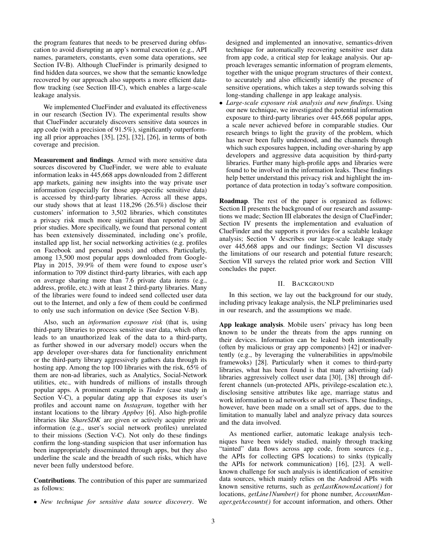the program features that needs to be preserved during obfuscation to avoid disrupting an app's normal execution (e.g., API names, parameters, constants, even some data operations, see Section IV-B). Although ClueFinder is primarily designed to find hidden data sources, we show that the semantic knowledge recovered by our approach also supports a more efficient dataflow tracking (see Section III-C), which enables a large-scale leakage analysis.

We implemented ClueFinder and evaluated its effectiveness in our research (Section IV). The experimental results show that ClueFinder accurately discovers sensitive data sources in app code (with a precision of 91.5%), significantly outperforming all prior approaches [35], [25], [32], [26], in terms of both coverage and precision.

Measurement and findings. Armed with more sensitive data sources discovered by ClueFinder, we were able to evaluate information leaks in 445,668 apps downloaded from 2 different app markets, gaining new insights into the way private user information (especially for those app-specific sensitive data) is accessed by third-party libraries. Across all these apps, our study shows that at least 118,296 (26.5%) disclose their customers' information to 3,502 libraries, which constitutes a privacy risk much more significant than reported by all prior studies. More specifically, we found that personal content has been extensively disseminated, including one's profile, installed app list, her social networking activities (e.g. profiles on Facebook and personal posts) and others. Particularly, among 13,500 most popular apps downloaded from Google-Play in 2015, 39.9% of them were found to expose user's information to 709 distinct third-party libraries, with each app on average sharing more than 7.6 private data items (e.g., address, profile, etc.) with at least 2 third-party libraries. Many of the libraries were found to indeed send collected user data out to the Internet, and only a few of them could be confirmed to only use such information on device (See Section V-B).

Also, such an *information exposure risk* (that is, using third-party libraries to process sensitive user data, which often leads to an unauthorized leak of the data to a third-party, as further showed in our adversary model) occurs when the app developer over-shares data for functionality enrichment or the third-party library aggressively gathers data through its hosting app. Among the top 100 libraries with the risk, 65% of them are non-ad libraries, such as Analytics, Social-Network utilities, etc., with hundreds of millions of installs through popular apps. A prominent example is *Tinder* (case study in Section V-C), a popular dating app that exposes its user's profiles and account name on *Instagram*, together with her instant locations to the library *Appboy* [6]. Also high-profile libraries like *ShareSDK* are given or actively acquire private information (e.g., user's social network profiles) unrelated to their missions (Section V-C). Not only do these findings confirm the long-standing suspicion that user information has been inappropriately disseminated through apps, but they also underline the scale and the breadth of such risks, which have never been fully understood before.

Contributions. The contribution of this paper are summarized as follows:

• *New technique for sensitive data source discovery*. We

designed and implemented an innovative, semantics-driven technique for automatically recovering sensitive user data from app code, a critical step for leakage analysis. Our approach leverages semantic information of program elements, together with the unique program structures of their context, to accurately and also efficiently identify the presence of sensitive operations, which takes a step towards solving this long-standing challenge in app leakage analysis.

• *Large-scale exposure risk analysis and new findings*. Using our new technique, we investigated the potential information exposure to third-party libraries over 445,668 popular apps, a scale never achieved before in comparable studies. Our research brings to light the gravity of the problem, which has never been fully understood, and the channels through which such exposures happen, including over-sharing by app developers and aggressive data acquisition by third-party libraries. Further many high-profile apps and libraries were found to be involved in the information leaks. These findings help better understand this privacy risk and highlight the importance of data protection in today's software composition.

Roadmap. The rest of the paper is organized as follows: Section II presents the background of our research and assumptions we made; Section III elaborates the design of ClueFinder; Section IV presents the implementation and evaluation of ClueFinder and the supports it provides for a scalable leakage analysis; Section V describes our large-scale leakage study over 445,668 apps and our findings; Section VI discusses the limitations of our research and potential future research; Section VII surveys the related prior work and Section VIII concludes the paper.

### II. BACKGROUND

In this section, we lay out the background for our study, including privacy leakage analysis, the NLP preliminaries used in our research, and the assumptions we made.

App leakage analysis. Mobile users' privacy has long been known to be under the threats from the apps running on their devices. Information can be leaked both intentionally (often by malicious or gray app components) [42] or inadvertently (e.g., by leveraging the vulnerabilities in apps/mobile framewoks) [28]. Particularly when it comes to third-party libraries, what has been found is that many advertising (ad) libraries aggressively collect user data [30], [38] through different channels (un-protected APIs, privilege-escalation etc.), disclosing sensitive attributes like age, marriage status and work information to ad networks or advertisers. These findings, however, have been made on a small set of apps, due to the limitation to manually label and analyze privacy data sources and the data involved.

As mentioned earlier, automatic leakage analysis techniques have been widely studied, mainly through tracking "tainted" data flows across app code, from sources (e.g., the APIs for collecting GPS locations) to sinks (typically the APIs for network communication) [16], [23]. A wellknown challenge for such analysis is identification of sensitive data sources, which mainly relies on the Android APIs with known sensitive returns, such as *getLastKnownLocation()* for locations, *getLine1Number()* for phone number, *AccountManager.getAccounts()* for account information, and others. Other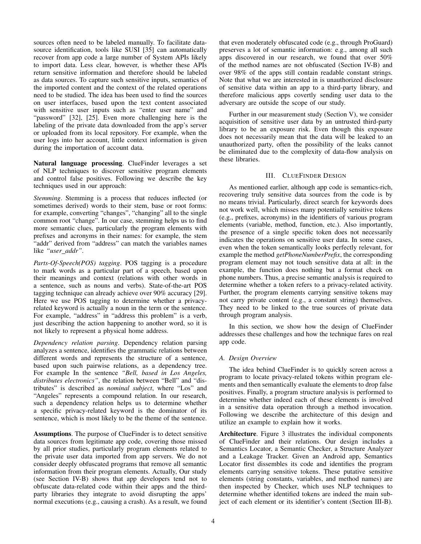sources often need to be labeled manually. To facilitate datasource identification, tools like SUSI [35] can automatically recover from app code a large number of System APIs likely to import data. Less clear, however, is whether these APIs return sensitive information and therefore should be labeled as data sources. To capture such sensitive inputs, semantics of the imported content and the context of the related operations need to be studied. The idea has been used to find the sources on user interfaces, based upon the text content associated with sensitive user inputs such as "enter user name" and "password" [32], [25]. Even more challenging here is the labeling of the private data downloaded from the app's server or uploaded from its local repository. For example, when the user logs into her account, little context information is given during the importation of account data.

Natural language processing. ClueFinder leverages a set of NLP techniques to discover sensitive program elements and control false positives. Following we describe the key techniques used in our approach:

*Stemming*. Stemming is a process that reduces inflected (or sometimes derived) words to their stem, base or root forms: for example, converting "changes", "changing" all to the single common root "change". In our case, stemming helps us to find more semantic clues, particularly the program elements with prefixes and acronyms in their names: for example, the stem "addr" derived from "address" can match the variables names like *"user addr"*.

*Parts-Of-Speech(POS) tagging*. POS tagging is a procedure to mark words as a particular part of a speech, based upon their meanings and context (relations with other words in a sentence, such as nouns and verbs). State-of-the-art POS tagging technique can already achieve over 90% accuracy [29]. Here we use POS tagging to determine whether a privacyrelated keyword is actually a noun in the term or the sentence. For example, "address" in "address this problem" is a verb, just describing the action happening to another word, so it is not likely to represent a physical home address.

*Dependency relation parsing*. Dependency relation parsing analyzes a sentence, identifies the grammatic relations between different words and represents the structure of a sentence, based upon such pairwise relations, as a dependency tree. For example In the sentence *"Bell, based in Los Angeles, distributes electronics"*, the relation between "Bell" and "distributes" is described as *nominal subject*, where "Los" and "Angeles" represents a compound relation. In our research, such a dependency relation helps us to determine whether a specific privacy-related keyword is the dominator of its sentence, which is most likely to be the theme of the sentence.

Assumptions. The purpose of ClueFinder is to detect sensitive data sources from legitimate app code, covering those missed by all prior studies, particularly program elements related to the private user data imported from app servers. We do not consider deeply obfuscated programs that remove all semantic information from their program elements. Actually, Our study (see Section IV-B) shows that app developers tend not to obfuscate data-related code within their apps and the thirdparty libraries they integrate to avoid disrupting the apps' normal executions (e.g., causing a crash). As a result, we found that even moderately obfuscated code (e.g., through ProGuard) preserves a lot of semantic information: e.g., among all such apps discovered in our research, we found that over 50% of the method names are not obfuscated (Section IV-B) and over 98% of the apps still contain readable constant strings. Note that what we are interested in is unauthorized disclosure of sensitive data within an app to a third-party library, and therefore malicious apps covertly sending user data to the adversary are outside the scope of our study.

Further in our measurement study (Section V), we consider acquisition of sensitive user data by an untrusted third-party library to be an exposure risk. Even though this exposure does not necessarily mean that the data will be leaked to an unauthorized party, often the possibility of the leaks cannot be eliminated due to the complexity of data-flow analysis on these libraries.

# III. CLUEFINDER DESIGN

As mentioned earlier, although app code is semantics-rich, recovering truly sensitive data sources from the code is by no means trivial. Particularly, direct search for keywords does not work well, which misses many potentially sensitive tokens (e.g., prefixes, acronyms) in the identifiers of various program elements (variable, method, function, etc.). Also importantly, the presence of a single specific token does not necessarily indicates the operations on sensitive user data. In some cases, even when the token semantically looks perfectly relevant, for example the method *getPhoneNumberPrefix*, the corresponding program element may not touch sensitive data at all: in the example, the function does nothing but a format check on phone numbers. Thus, a precise semantic analysis is required to determine whether a token refers to a privacy-related activity. Further, the program elements carrying sensitive tokens may not carry private content (e.g., a constant string) themselves. They need to be linked to the true sources of private data through program analysis.

In this section, we show how the design of ClueFinder addresses these challenges and how the technique fares on real app code.

## *A. Design Overview*

The idea behind ClueFinder is to quickly screen across a program to locate privacy-related tokens within program elements and then semantically evaluate the elements to drop false positives. Finally, a program structure analysis is performed to determine whether indeed each of these elements is involved in a sensitive data operation through a method invocation. Following we describe the architecture of this design and utilize an example to explain how it works.

Architecture. Figure 3 illustrates the individual components of ClueFinder and their relations. Our design includes a Semantics Locator, a Semantic Checker, a Structure Analyzer and a Leakage Tracker. Given an Android app, Semantics Locator first dissembles its code and identifies the program elements carrying sensitive tokens. These putative sensitive elements (string constants, variables, and method names) are then inspected by Checker, which uses NLP techniques to determine whether identified tokens are indeed the main subject of each element or its identifier's content (Section III-B).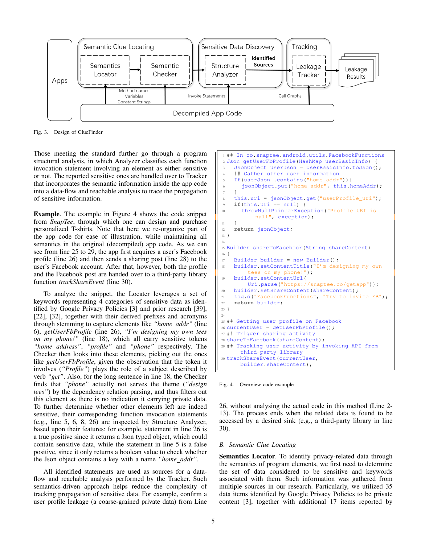

Fig. 3. Design of ClueFinder

Those meeting the standard further go through a program structural analysis, in which Analyzer classifies each function invocation statement involving an element as either sensitive or not. The reported sensitive ones are handled over to Tracker that incorporates the semantic information inside the app code into a data-flow and reachable analysis to trace the propagation of sensitive information.

Example. The example in Figure 4 shows the code snippet from *SnapTee*, through which one can design and purchase personalized T-shirts. Note that here we re-organize part of the app code for ease of illustration, while maintaining all semantics in the original (decompiled) app code. As we can see from line 25 to 29, the app first acquires a user's Facebook profile (line 26) and then sends a sharing post (line 28) to the user's Facebook account. After that, however, both the profile and the Facebook post are handed over to a third-party library function *trackShareEvent* (line 30).

To analyze the snippet, the Locater leverages a set of keywords representing 4 categories of sensitive data as identified by Google Privacy Policies [3] and prior research [39], [22], [32], together with their derived prefixes and acronyms through stemming to capture elements like *"home addr"* (line 6), *getUserFbProfile* (line 26), *"I'm designing my own tees on my phone!"* (line 18), which all carry sensitive tokens *"home address"*, *"profile"* and *"phone"* respectively. The Checker then looks into these elements, picking out the ones like *getUserFbProfile*, given the observation that the token it involves (*"Profile"*) plays the role of a subject described by verb *"get"*. Also, for the long sentence in line 18, the Checker finds that *"phone"* actually not serves the theme (*"design tees"*) by the dependency relation parsing, and thus filters out this element as there is no indication it carrying private data. To further determine whether other elements left are indeed sensitive, their corresponding function invocation statements (e.g., line 5, 6, 8, 26) are inspected by Structure Analyzer, based upon their features: for example, statement in line 26 is a true positive since it returns a Json typed object, which could contain sensitive data, while the statement in line 5 is a false positive, since it only returns a boolean value to check whether the Json object contains a key with a name *"home addr"*.

All identified statements are used as sources for a dataflow and reachable analysis performed by the Tracker. Such semantics-driven approach helps reduce the complexity of tracking propagation of sensitive data. For example, confirm a user profile leakage (a coarse-grained private data) from Line

```
1 ## In co.snaptee.android.utils.FacebookFunctions
2 Json getUserFbProfile(HashMap userBasicInfo) {
    JsonObject userJson = UserBasicInfo.toJson();
    ## Gather other user information
    5 If(userJson .contains("home_addr")){
      jsonObject.put("home_addr", this.homeAddr);
 7 }
8 this.uri = jsonObject.get("userProfile_uri");
    9 if(this.uri == null) {
10 throwNullPointerException("Profile URI is
          null", exception);
11 }
12 return jsonObject;
13 }
14
15 Builder shareToFacebook(String shareContent)
16 {
17 Builder builder = new Builder();
18 builder.setContentTitle("I'm designing my own
        tees on my phone!");
19 builder.setContentUrl(
        Uri.parse("https://snaptee.co/getapp"));
20 builder.setShareContent(shareContent);
21 Log.d("FacebookFunctions", "Try to invite FB");
22 return builder;
23 }
24
25 ## Getting user profile on Facebook
26 currentUser = getUserFbProbile();
27 ## Trigger sharing activity
28 shareToFacebook(shareContent);
29 ## Tracking user activity by invoking API from
      third-party library
30 trackShareEvent(currentUser,
      builder.shareContent);
```
Fig. 4. Overview code example

26, without analysing the actual code in this method (Line 2- 13). The process ends when the related data is found to be accessed by a desired sink (e.g., a third-party library in line 30).

## *B. Semantic Clue Locating*

Semantics Locator. To identify privacy-related data through the semantics of program elements, we first need to determine the set of data considered to be sensitive and keywords associated with them. Such information was gathered from multiple sources in our research. Particularly, we utilized 35 data items identified by Google Privacy Policies to be private content [3], together with additional 17 items reported by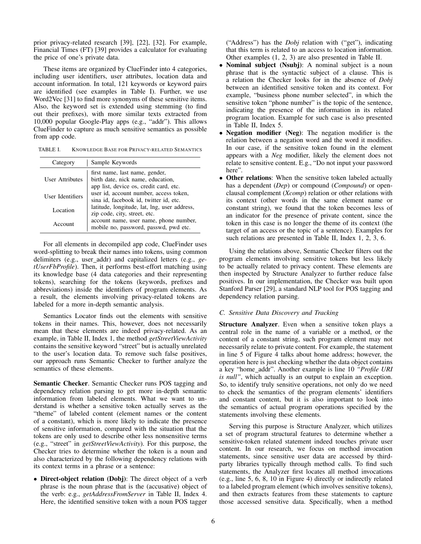prior privacy-related research [39], [22], [32]. For example, Financial Times (FT) [39] provides a calculator for evaluating the price of one's private data.

These items are organized by ClueFinder into 4 categories, including user identifiers, user attributes, location data and account information. In total, 121 keywords or keyword pairs are identified (see examples in Table I). Further, we use Word2Vec [31] to find more synonyms of these sensitive items. Also, the keyword set is extended using stemming (to find out their prefixes), with more similar texts extracted from 10,000 popular Google-Play apps (e.g., "addr"). This allows ClueFinder to capture as much sensitive semantics as possible from app code.

TABLE I. KNOWLEDGE BASE FOR PRIVACY-RELATED SEMANTICS

| Category               | Sample Keywords                                                                                               |
|------------------------|---------------------------------------------------------------------------------------------------------------|
| <b>User Attributes</b> | first name, last name, gender,<br>birth date, nick name, education,<br>app list, device os, credit card, etc. |
| User Identifiers       | user id, account number, access token,<br>sina id, facebook id, twitter id, etc.                              |
| Location               | latitude, longitude, lat, lng, user address,<br>zip code, city, street, etc.                                  |
| Account                | account name, user name, phone number,<br>mobile no, password, passwd, pwd etc.                               |

For all elements in decompiled app code, ClueFinder uses word-splitting to break their names into tokens, using common delimiters (e.g., user addr) and capitalized letters (e.g., *getUserFbProfile*). Then, it performs best-effort matching using its knowledge base (4 data categories and their representing tokens), searching for the tokens (keywords, prefixes and abbreviations) inside the identifiers of program elements. As a result, the elements involving privacy-related tokens are labeled for a more in-depth semantic analysis.

Semantics Locator finds out the elements with sensitive tokens in their names. This, however, does not necessarily mean that these elements are indeed privacy-related. As an example, in Table II, Index 1, the method *getStreetViewActivity* contains the sensitive keyword "street" but is actually unrelated to the user's location data. To remove such false positives, our approach runs Semantic Checker to further analyze the semantics of these elements.

Semantic Checker. Semantic Checker runs POS tagging and dependency relation parsing to get more in-depth semantic information from labeled elements. What we want to understand is whether a sensitive token actually serves as the "theme" of labeled content (element names or the content of a constant), which is more likely to indicate the presence of sensitive information, compared with the situation that the tokens are only used to describe other less nonsensitive terms (e.g., "street" in *getStreetViewActivity*). For this purpose, the Checker tries to determine whether the token is a noun and also characterized by the following dependency relations with its context terms in a phrase or a sentence:

• Direct-object relation (Dobj): The direct object of a verb phrase is the noun phrase that is the (accusative) object of the verb: e.g., *getAddressFromServer* in Table II, Index 4. Here, the identified sensitive token with a noun POS tagger ("Address") has the *Dobj* relation with ("get"), indicating that this term is related to an access to location information. Other examples (1, 2, 3) are also presented in Table II.

- Nominal subject (Nsubj): A nominal subject is a noun phrase that is the syntactic subject of a clause. This is a relation the Checker looks for in the absence of *Dobj* between an identified sensitive token and its context. For example, "business phone number selected", in which the sensitive token "phone number" is the topic of the sentence, indicating the presence of the information in its related program location. Example for such case is also presented in Table II, Index 5.
- Negation modifier (Neg): The negation modifier is the relation between a negation word and the word it modifies. In our case, if the sensitive token found in the element appears with a *Neg* modifier, likely the element does not relate to sensitive content. E.g., "Do not input your password here".
- Other relations: When the sensitive token labeled actually has a dependent (*Dep*) or compound (*Compound*) or openclausal complement (*Xcomp*) relation or other relations with its context (other words in the same element name or constant string), we found that the token becomes less of an indicator for the presence of private content, since the token in this case is no longer the theme of its context (the target of an access or the topic of a sentence). Examples for such relations are presented in Table II, Index 1, 2, 3, 6.

Using the relations above, Semantic Checker filters out the program elements involving sensitive tokens but less likely to be actually related to privacy content. These elements are then inspected by Structure Analyzer to further reduce false positives. In our implementation, the Checker was built upon Stanford Parser [29], a standard NLP tool for POS tagging and dependency relation parsing.

# *C. Sensitive Data Discovery and Tracking*

Structure Analyzer. Even when a sensitive token plays a central role in the name of a variable or a method, or the content of a constant string, such program element may not necessarily relate to private content. For example, the statement in line 5 of Figure 4 talks about home address; however, the operation here is just checking whether the data object contains a key "home addr". Another example is line 10 *"Profile URI is null"*, which actually is an output to explain an exception. So, to identify truly sensitive operations, not only do we need to check the semantics of the program elements' identifiers and constant content, but it is also important to look into the semantics of actual program operations specified by the statements involving these elements.

Serving this purpose is Structure Analyzer, which utilizes a set of program structural features to determine whether a sensitive-token related statement indeed touches private user content. In our research, we focus on method invocation statements, since sensitive user data are accessed by thirdparty libraries typically through method calls. To find such statements, the Analyzer first locates all method invocations (e.g., line 5, 6, 8, 10 in Figure 4) directly or indirectly related to a labeled program element (which involves sensitive tokens), and then extracts features from these statements to capture those accessed sensitive data. Specifically, when a method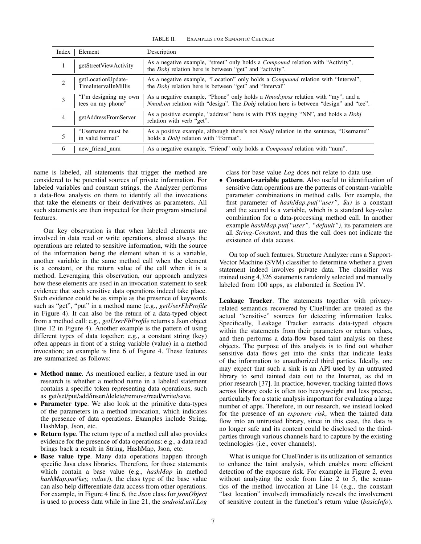TABLE II. EXAMPLES FOR SEMANTIC CHECKER

| Index          | Element                                           | Description                                                                                                                                                               |
|----------------|---------------------------------------------------|---------------------------------------------------------------------------------------------------------------------------------------------------------------------------|
|                | getStreetViewActivity                             | As a negative example, "street" only holds a <i>Compound</i> relation with "Activity",<br>the <i>Dobj</i> relation here is between "get" and "activity".                  |
| $\overline{2}$ | getLocationUpdate-<br><b>TimeIntervalInMillis</b> | As a negative example, "Location" only holds a <i>Compound</i> relation with "Interval",<br>the <i>Dobj</i> relation here is between "get" and "Interval"                 |
| 3              | "I'm designing my own<br>tees on my phone"        | As a negative example, "Phone" only holds a Nmod: poss relation with "my", and a<br>Nmod:on relation with "design". The Dobj relation here is between "design" and "tee". |
| 4              | getAddressFromServer                              | As a positive example, "address" here is with POS tagging "NN", and holds a <i>Dobj</i><br>relation with verb "get".                                                      |
|                | "Username must be<br>in valid format"             | As a positive example, although there's not <i>Nsubj</i> relation in the sentence, "Username"<br>holds a <i>Dobj</i> relation with "Format".                              |
| 6              | new friend num                                    | As a negative example, "Friend" only holds a <i>Compound</i> relation with "num".                                                                                         |

name is labeled, all statements that trigger the method are considered to be potential sources of private information. For labeled variables and constant strings, the Analyzer performs a data-flow analysis on them to identify all the invocations that take the elements or their derivatives as parameters. All such statements are then inspected for their program structural features.

Our key observation is that when labeled elements are involved in data read or write operations, almost always the operations are related to sensitive information, with the source of the information being the element when it is a variable, another variable in the same method call when the element is a constant, or the return value of the call when it is a method. Leveraging this observation, our approach analyzes how these elements are used in an invocation statement to seek evidence that such sensitive data operations indeed take place. Such evidence could be as simple as the presence of keywords such as "get", "put" in a method name (e.g., *getUserFbProfile* in Figure 4). It can also be the return of a data-typed object from a method call: e.g., *getUserFbProfile* returns a Json object (line 12 in Figure 4). Another example is the pattern of using different types of data together: e.g., a constant string (key) often appears in front of a string variable (value) in a method invocation; an example is line 6 of Figure 4. These features are summarized as follows:

- Method name. As mentioned earlier, a feature used in our research is whether a method name in a labeled statement contains a specific token representing data operations, such as get/set/put/add/insert/delete/remove/read/write/save.
- Parameter type. We also look at the primitive data-types of the parameters in a method invocation, which indicates the presence of data operations. Examples include String, HashMap, Json, etc.
- Return type. The return type of a method call also provides evidence for the presence of data operations: e.g., a data read brings back a result in String, HashMap, Json, etc.
- Base value type. Many data operations happen through specific Java class libraries. Therefore, for those statements which contain a base value (e.g., *hashMap* in method *hashMap.put(key, value)*), the class type of the base value can also help differentiate data access from other operations. For example, in Figure 4 line 6, the *Json* class for *jsonObject* is used to process data while in line 21, the *android.util.Log*

class for base value *Log* does not relate to data use.

• Constant-variable pattern. Also useful to identification of sensitive data operations are the patterns of constant-variable parameter combinations in method calls. For example, the first parameter of *hashMap.put("user",* \$*u)* is a constant and the second is a variable, which is a standard key-value combination for a data-processing method call. In another example *hashMap.put("user", "default")*, its parameters are all *String-Constant*, and thus the call does not indicate the existence of data access.

On top of such features, Structure Analyzer runs a Support-Vector Machine (SVM) classifier to determine whether a given statement indeed involves private data. The classifier was trained using 4,326 statements randomly selected and manually labeled from 100 apps, as elaborated in Section IV.

Leakage Tracker. The statements together with privacyrelated semantics recovered by ClueFinder are treated as the actual "sensitive" sources for detecting information leaks. Specifically, Leakage Tracker extracts data-typed objects within the statements from their parameters or return values, and then performs a data-flow based taint analysis on these objects. The purpose of this analysis is to find out whether sensitive data flows get into the sinks that indicate leaks of the information to unauthorized third parties. Ideally, one may expect that such a sink is an API used by an untrusted library to send tainted data out to the Internet, as did in prior research [37]. In practice, however, tracking tainted flows across library code is often too heavyweight and less precise, particularly for a static analysis important for evaluating a large number of apps. Therefore, in our research, we instead looked for the presence of an *exposure risk*, when the tainted data flow into an untrusted library, since in this case, the data is no longer safe and its content could be disclosed to the thirdparties through various channels hard to capture by the existing technologies (i.e., cover channels).

What is unique for ClueFinder is its utilization of semantics to enhance the taint analysis, which enables more efficient detection of the exposure risk. For example in Figure 2, even without analyzing the code from Line 2 to 5, the semantics of the method invocation at Line 14 (e.g., the constant "last\_location" involved) immediately reveals the involvement of sensitive content in the function's return value (*basicInfo*).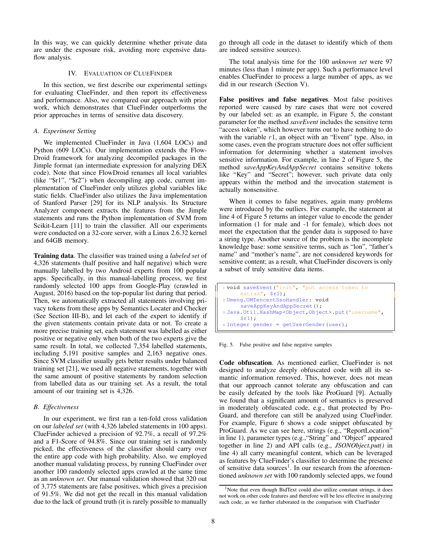In this way, we can quickly determine whether private data are under the exposure risk, avoiding more expensive dataflow analysis.

#### IV. EVALUATION OF CLUEFINDER

In this section, we first describe our experimental settings for evaluating ClueFinder, and then report its effectiveness and performance. Also, we compared our approach with prior work, which demonstrates that ClueFinder outperforms the prior approaches in terms of sensitive data discovery.

## *A. Experiment Setting*

We implemented ClueFinder in Java (1,604 LOCs) and Python (609 LOCs). Our implementation extends the Flow-Droid framework for analyzing decompiled packages in the Jimple format (an intermediate expression for analyzing DEX code). Note that since FlowDroid renames all local variables (like "\$r1", "\$r2") when decompiling app code, current implementation of ClueFinder only utilizes global variables like static fields. ClueFinder also utilizes the Java implementation of Stanford Parser [29] for its NLP analysis. Its Structure Analyzer component extracts the features from the Jimple statements and runs the Python implementation of SVM from Scikit-Learn [11] to train the classifier. All our experiments were conducted on a 32-core server, with a Linux 2.6.32 kernel and 64GB memory.

Training data. The classifier was trained using a *labeled set* of 4,326 statements (half positive and half negative) which were manually labelled by two Android experts from 100 popular apps. Specifically, in this manual-labelling process, we first randomly selected 100 apps from Google-Play (crawled in August, 2016) based on the top-popular list during that period. Then, we automatically extracted all statements involving privacy tokens from these apps by Semantics Locater and Checker (See Section III-B), and let each of the expert to identify if the given statements contain private data or not. To create a more precise training set, each statement was labelled as either positive or negative only when both of the two experts give the same result. In total, we collected 7,354 labelled statements, including 5,191 positive samples and 2,163 negative ones. Since SVM classifier usually gets better results under balanced training set [21], we used all negative statements, together with the same amount of positive statements by random selection from labelled data as our training set. As a result, the total amount of our training set is 4,326.

### *B. Effectiveness*

In our experiment, we first ran a ten-fold cross validation on our *labeled set* (with 4,326 labeled statements in 100 apps). ClueFinder achieved a precision of 92.7%, a recall of 97.2% and a F1-Score of 94.8%. Since our training set is randomly picked, the effectiveness of the classifier should carry over the entire app code with high probability. Also, we employed another manual validating process, by running ClueFinder over another 100 randomly selected apps crawled at the same time as an *unknown set*. Our manual validation showed that 320 out of 3,775 statements are false positives, which gives a precision of 91.5%. We did not get the recall in this manual validation due to the lack of ground truth (it is rarely possible to manually go through all code in the dataset to identify which of them are indeed sensitive sources).

The total analysis time for the 100 *unknown set* were 97 minutes (less than 1 minute per app). Such a performance level enables ClueFinder to process a large number of apps, as we did in our research (Section V).

False positives and false negatives. Most false positives reported were caused by rare cases that were not covered by our labeled set: as an example, in Figure 5, the constant parameter for the method *saveEvent* includes the sensitive term "access token", which however turns out to have nothing to do with the variable  $r1$ , an object with an "Event" type. Also, in some cases, even the program structure does not offer sufficient information for determining whether a statement involves sensitive information. For example, in line 2 of Figure 5, the method *saveAppKeyAndAppSecret* contains sensitive tokens like "Key" and "Secret"; however, such private data only appears within the method and the invocation statement is actually nonsensitive.

When it comes to false negatives, again many problems were introduced by the outliers. For example, the statement at line 4 of Figure 5 returns an integer value to encode the gender information (1 for male and -1 for female), which does not meet the expectation that the gender data is supposed to have a string type. Another source of the problem is the incomplete knowledge base: some sensitive terms, such as "lon", "father's name" and "mother's name", are not considered keywords for sensitive content; as a result, what ClueFinder discovers is only a subset of truly sensitive data items.

```
1 void saveEvent("init", "put access token to
     extras", $r1);
2 Umeng.UMTencentSsoHandler: void
     saveAppKeyAndAppSecret();
3 Java.Util.HashMap<Object,Object>.put("username",
     $r1);
4 Integer gender = getUserGender(user);
```
Fig. 5. False positive and false negative samples

Code obfuscation. As mentioned earlier, ClueFinder is not designed to analyze deeply obfuscated code with all its semantic information removed. This, however, does not mean that our approach cannot tolerate any obfuscation and can be easily defeated by the tools like ProGuard [9]. Actually we found that a significant amount of semantics is preserved in moderately obfuscated code, e.g., that protected by Pro-Guard, and therefore can still be analyzed using ClueFinder. For example, Figure 6 shows a code snippet obfuscated by ProGuard. As we can see here, strings (e.g., "ReportLocation" in line 1), parameter types (e.g.,"String" and "Object" appeared together in line 2) and API calls (e.g., *JSONObject.put()* in line 4) all carry meaningful content, which can be leveraged as features by ClueFinder's classifier to determine the presence of sensitive data sources<sup>1</sup>. In our research from the aforementioned *unknown set* with 100 randomly selected apps, we found

<sup>&</sup>lt;sup>1</sup>Note that even though BidText could also utilize constant strings, it does not work on other code features and therefore will be less effective in analyzing such code, as we further elaborated in the comparison with ClueFinder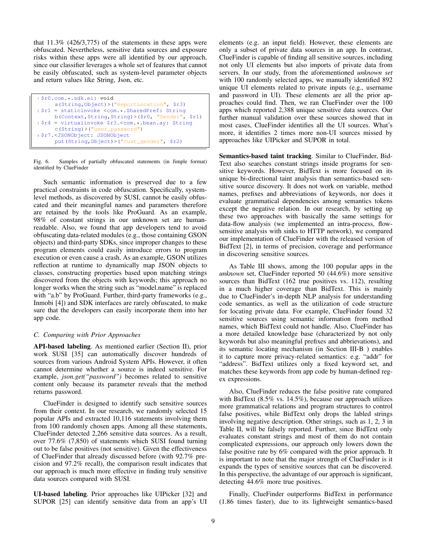that 11.3% (426/3,775) of the statements in these apps were obfuscated. Nevertheless, sensitive data sources and exposure risks within these apps were all identified by our approach, since our classifier leverages a whole set of features that cannot be easily obfuscated, such as system-level parameter objects and return values like String, Json, etc.

```
1 $r0.com.*.sdk.ei: void
     a(String,Object)>("ReportLocation", $r3)
2 $r1 = staticinvoke <com.*.SharedPref: String
     b(Context,String,String)>($r0, "Gender", $r1)
3 $r4 = virtualinvoke $r3.<com.*.bean.ay: String
     c(String)>("user_password")
 4 $r7.<JSONObject: JSONObject
     put(String,Object)>("cust_gender", $r2)
```
Fig. 6. Samples of partially obfuscated statements (in Jimple format) identified by ClueFinder

Such semantic information is preserved due to a few practical constraints in code obfuscation. Specifically, systemlevel methods, as discovered by SUSI, cannot be easily obfuscated and their meaningful names and parameters therefore are retained by the tools like ProGuard. As an example, 98% of constant strings in our unknown set are humanreadable. Also, we found that app developers tend to avoid obfuscating data-related modules (e.g., those containing GSON objects) and third-party SDKs, since improper changes to these program elements could easily introduce errors to program execution or even cause a crash. As an example, GSON utilizes reflection at runtime to dynamically map JSON objects to classes, constructing properties based upon matching strings discovered from the objects with keywords; this approach no longer works when the string such as "model.name" is replaced with "a.b" by ProGuard. Further, third-party frameworks (e.g., Inmobi [4]) and SDK interfaces are rarely obfuscated, to make sure that the developers can easily incorporate them into her app code.

# *C. Comparing with Prior Approaches*

API-based labeling. As mentioned earlier (Section II), prior work SUSI [35] can automatically discover hundreds of sources from various Android System APIs. However, it often cannot determine whether a source is indeed sensitive. For example, *json.get("password")* becomes related to sensitive content only because its parameter reveals that the method returns password.

ClueFinder is designed to identify such sensitive sources from their context. In our research, we randomly selected 15 popular APIs and extracted 10,116 statements involving them from 100 randomly chosen apps. Among all these statements, ClueFinder detected 2,266 sensitive data sources. As a result, over 77.6% (7,850) of statements which SUSI found turning out to be false positives (not sensitive). Given the effectiveness of ClueFinder that already discussed before (with 92.7% precision and 97.2% recall), the comparison result indicates that our approach is much more effective in finding truly sensitive data sources compared with SUSI.

UI-based labeling. Prior approaches like UIPicker [32] and SUPOR [25] can identify sensitive data from an app's UI elements (e.g. an input field). However, these elements are only a subset of private data sources in an app. In contrast, ClueFinder is capable of finding all sensitive sources, including not only UI elements but also imports of private data from servers. In our study, from the aforementioned *unknown set* with 100 randomly selected apps, we manually identified 892 unique UI elements related to private inputs (e.g., username and password in UI). These elements are all the prior approaches could find. Then, we ran ClueFinder over the 100 apps which reported 2,388 unique sensitive data sources. Our further manual validation over these sources showed that in most cases, ClueFinder identifies all the UI sources. What's more, it identifies 2 times more non-UI sources missed by approaches like UIPicker and SUPOR in total.

Semantics-based taint tracking. Similar to ClueFinder, Bid-Text also searches constant strings inside programs for sensitive keywords. However, BidText is more focused on its unique bi-directional taint analysis than semantics-based sensitive source discovery. It does not work on variable, method names, prefixes and abbreviations of keywords, nor does it evaluate grammatical dependencies among semantics tokens except the negative relation. In our research, by setting up these two approaches with basically the same settings for data-flow analysis (we implemented an intra-process, flowsensitive analysis with sinks to HTTP network), we compared our implementation of ClueFinder with the released version of BidText [2], in terms of precision, coverage and performance in discovering sensitive sources.

As Table III shows, among the 100 popular apps in the *unknown* set, ClueFinder reported 50 (44.6%) more sensitive sources than BidText (162 true positives vs. 112), resulting in a much higher coverage than BidText. This is mainly due to ClueFinder's in-depth NLP analysis for understanding code semantics, as well as the utilization of code structure for locating private data. For example, ClueFinder found 32 sensitive sources using semantic information from method names, which BidText could not handle. Also, ClueFinder has a more detailed knowledge base (characterized by not only keywords but also meaningful prefixes and abbrievations), and its semantic locating mechanism (in Section III-B ) enables it to capture more privacy-related semantics: e.g. "addr" for "address". BidText utilizes only a fixed keyword set, and matches these keywords from app code by human-defined regex expressions.

Also, ClueFinder reduces the false positive rate compared with BidText (8.5% vs. 14.5%), because our approach utilizes more grammatical relations and program structures to control false positives, while BidText only drops the labled strings involving negative description. Other strings, such as 1, 2, 3 in Table II, will be falsely reported. Further, since BidText only evaluates constant strings and most of them do not contain complicated expressions, our approach only lowers down the false positive rate by 6% compared with the prior approach. It is important to note that the major strength of ClueFinder is it expands the types of sensitive sources that can be discovered. In this perspective, the advantage of our approach is significant, detecting 44.6% more true positives.

Finally, ClueFinder outperforms BidText in performance (1.86 times faster), due to its lightweight semantics-based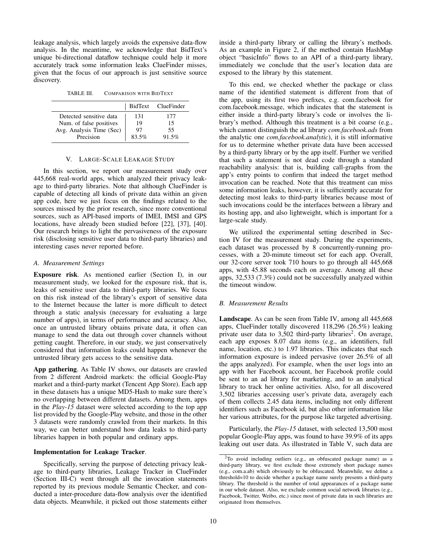leakage analysis, which largely avoids the expensive data-flow analysis. In the meantime, we acknowledge that BidText's unique bi-directional dataflow technique could help it more accurately track some information leaks ClueFinder misses, given that the focus of our approach is just sensitive source discovery.

TABLE III. COMPARISON WITH BIDTEXT

|                          |       | BidText ClueFinder |
|--------------------------|-------|--------------------|
| Detected sensitive data  | 131   | 177                |
| Num. of false positives  | 19    | 15                 |
| Avg. Analysis Time (Sec) | 97    | 55                 |
| Precision                | 83.5% | 91.5%              |

### V. LARGE-SCALE LEAKAGE STUDY

In this section, we report our measurement study over 445,668 real-world apps, which analyzed their privacy leakage to third-party libraries. Note that although ClueFinder is capable of detecting all kinds of private data within an given app code, here we just focus on the findings related to the sources missed by the prior research, since more conventional sources, such as API-based imports of IMEI, IMSI and GPS locations, have already been studied before [22], [37], [40]. Our research brings to light the pervasiveness of the exposure risk (disclosing sensitive user data to third-party libraries) and interesting cases never reported before.

#### *A. Measurement Settings*

Exposure risk. As mentioned earlier (Section I), in our measurement study, we looked for the exposure risk, that is, leaks of sensitive user data to third-party libraries. We focus on this risk instead of the library's export of sensitive data to the Internet because the latter is more difficult to detect through a static analysis (necessary for evaluating a large number of apps), in terms of performance and accuracy. Also, once an untrusted library obtains private data, it often can manage to send the data out through cover channels without getting caught. Therefore, in our study, we just conservatively considered that information leaks could happen whenever the untrusted library gets access to the sensitive data.

App gathering. As Table IV shows, our datasets are crawled from 2 different Android markets: the official Google-Play market and a third-party market (Tencent App Store). Each app in these datasets has a unique MD5-Hash to make sure there's no overlapping between different datasets. Among them, apps in the *Play-15* dataset were selected according to the top app list provided by the Google-Play website, and those in the other 3 datasets were randomly crawled from their markets. In this way, we can better understand how data leaks to third-party libraries happen in both popular and ordinary apps.

### Implementation for Leakage Tracker.

Specifically, serving the purpose of detecting privacy leakage to third-party libraries, Leakage Tracker in ClueFinder (Section III-C) went through all the invocation statements reported by its previous module Semantic Checker, and conducted a inter-procedure data-flow analysis over the identified data objects. Meanwhile, it picked out those statements either inside a third-party library or calling the library's methods. As an example in Figure 2, if the method contain HashMap object "basicInfo" flows to an API of a third-party library, immediately we conclude that the user's location data are exposed to the library by this statement.

To this end, we checked whether the package or class name of the identified statement is different from that of the app, using its first two prefixes, e.g. com.facebook for com.facebook.message, which indicates that the statement is either inside a third-party library's code or involves the library's method. Although this treatment is a bit coarse (e.g., which cannot distinguish the ad library *com.facebook.ads* from the analytic one *com.facebook.analytic*), it is still informative for us to determine whether private data have been accessed by a third-party library or by the app itself. Further we verified that such a statement is not dead code through a standard reachability analysis: that is, building call-graphs from the app's entry points to confirm that indeed the target method invocation can be reached. Note that this treatment can miss some information leaks, however, it is sufficiently accurate for detecting most leaks to third-party libraries because most of such invocations could be the interfaces between a library and its hosting app, and also lightweight, which is important for a large-scale study.

We utilized the experimental setting described in Section IV for the measurement study. During the experiments, each dataset was processed by 8 concurrently-running processes, with a 20-minute timeout set for each app. Overall, our 32-core server took 710 hours to go through all 445,668 apps, with 45.88 seconds each on average. Among all these apps, 32,533 (7.3%) could not be successfully analyzed within the timeout window.

## *B. Measurement Results*

Landscape. As can be seen from Table IV, among all 445,668 apps, ClueFinder totally discovered 118,296 (26.5%) leaking private user data to  $3,502$  third-party libraries<sup>2</sup>. On average, each app exposes 8.07 data items (e.g., an identifiers, full name, location, etc.) to 1.97 libraries. This indicates that such information exposure is indeed pervasive (over 26.5% of all the apps analyzed). For example, when the user logs into an app with her Facebook account, her Facebook profile could be sent to an ad library for marketing, and to an analytical library to track her online activities. Also, for all discovered 3,502 libraries accessing user's private data, averagely each of them collects 2.45 data items, including not only different identifiers such as Facebook id, but also other information like her various attributes, for the purpose like targeted advertising.

Particularly, the *Play-15* dataset, with selected 13,500 most popular Google-Play apps, was found to have 39.9% of its apps leaking out user data. As illustrated in Table V, such data are

<sup>2</sup>To avoid including outliers (e.g., an obfuscated package name) as a third-party library, we first exclude those extremely short package names (e.g., com.a.ab) which obviously to be obfuscated. Meanwhile, we define a threshold=10 to decide whether a package name surely presents a third-party library. The threshold is the number of total appearances of a package name in our whole dataset. Also, we exclude common social network libraries (e.g., Facebook, Twitter, Weibo, etc.) since most of private data in such libraries are originated from themselves.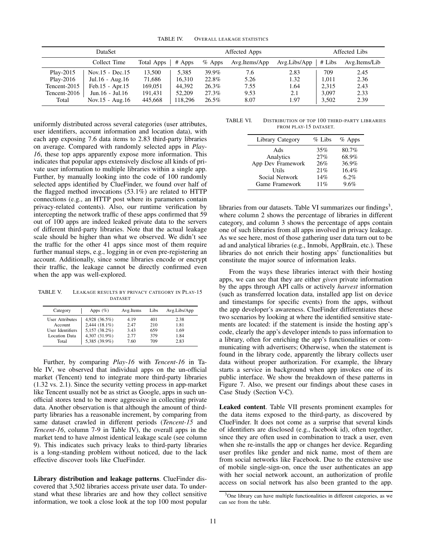TABLE IV. OVERALL LEAKAGE STATISTICS

| <b>DataSet</b> |                 | Affected Apps |          | Affected Libs |               |              |        |               |
|----------------|-----------------|---------------|----------|---------------|---------------|--------------|--------|---------------|
|                | Collect Time    | Total Apps    | $#$ Apps | $%$ Apps      | Avg.Items/App | Avg.Libs/App | # Libs | Avg.Items/Lib |
| Play-2015      | Nov.15 - Dec.15 | 13.500        | 5.385    | 39.9%         | 7.6           | 2.83         | 709    | 2.45          |
| Play-2016      | Jul.16 - Aug.16 | 71,686        | 16.310   | 22.8%         | 5.26          | 1.32         | 1.011  | 2.36          |
| Tencent-2015   | Feb.15 - Apr.15 | 169,051       | 44.392   | 26.3%         | 7.55          | 1.64         | 2.315  | 2.43          |
| Tencent-2016   | Jun.16 - Jul.16 | 191,431       | 52,209   | 27.3%         | 9.53          | 2.1          | 3.097  | 2.33          |
| Total          | Nov.15 - Aug.16 | 445,668       | 118,296  | 26.5%         | 8.07          | 1.97         | 3,502  | 2.39          |

uniformly distributed across several categories (user attributes, user identifiers, account information and location data), with each app exposing 7.6 data items to 2.83 third-party libraries on average. Compared with randomly selected apps in *Play-16*, these top apps apparently expose more information. This indicates that popular apps extensively disclose all kinds of private user information to multiple libraries within a single app. Further, by manually looking into the code of 100 randomly selected apps identified by ClueFinder, we found over half of the flagged method invocations (53.1%) are related to HTTP connections (e.g., an HTTP post where its parameters contain privacy-related contents). Also, our runtime verification by intercepting the network traffic of these apps confirmed that 59 out of 100 apps are indeed leaked private data to the servers of different third-party libraries. Note that the actual leakage scale should be higher than what we observed. We didn't see the traffic for the other 41 apps since most of them require further manual steps, e.g., logging in or even pre-registering an account. Additionally, since some libraries encode or encrypt their traffic, the leakage cannot be directly confirmed even when the app was well-explored.

TABLE V. LEAKAGE RESULTS BY PRIVACY CATEGORY IN PLAY-15 DATASET

| Category               | Apps $(\%)$   | Avg.Items | Libs | Avg.Libs/App |
|------------------------|---------------|-----------|------|--------------|
| <b>User Attributes</b> | 4,928 (36.5%) | 4.19      | 401  | 2.38         |
| Account                | 2,444 (18.1%) | 2.47      | 210  | 1.81         |
| User Identifiers       | 5,157 (38.2%) | 3.43      | 659  | 1.69         |
| Location Data          | 4,307 (31.9%) | 2.77      | 379  | 1.84         |
| Total                  | 5,385 (39.9%) | 7.60      | 709  | 2.83         |

Further, by comparing *Play-16* with *Tencent-16* in Table IV, we observed that individual apps on the un-official market (Tencent) tend to integrate more third-party libraries (1.32 vs. 2.1). Since the security vetting process in app-market like Tencent usually not be as strict as Google, apps in such unofficial stores tend to be more aggressive in collecting private data. Another observation is that although the amount of thirdparty libraries has a reasonable increment, by comparing from same dataset crawled in different periods (*Tencent-15* and *Tencent-16*, column 7-9 in Table IV), the overall apps in the market tend to have almost identical leakage scale (see column 9). This indicates such privacy leaks to third-party libraries is a long-standing problem without noticed, due to the lack effective discover tools like ClueFinder.

Library distribution and leakage patterns. ClueFinder discovered that 3,502 libraries access private user data. To understand what these libraries are and how they collect sensitive information, we took a close look at the top 100 most popular

TABLE VI. DISTRIBUTION OF TOP 100 THIRD-PARTY LIBRARIES FROM PLAY-15 DATASET.

| Library Category  | $%$ Libs | $%$ Apps |
|-------------------|----------|----------|
| Ads               | 35%      | 80.7%    |
| Analytics         | 27%      | 68.9%    |
| App Dev Framework | 26%      | 36.9%    |
| <b>Utils</b>      | 21%      | 16.4%    |
| Social Network    | 14%      | 6.2%     |
| Game Framework    | 11%      | 9.6%     |

libraries from our datasets. Table VI summarizes our findings<sup>3</sup>, where column 2 shows the percentage of libraries in different category, and column 3 shows the percentage of apps contain one of such libraries from all apps involved in privacy leakage. As we see here, most of those gathering user data turn out to be ad and analytical libraries (e.g., Inmobi, AppBrain, etc.). These libraries do not enrich their hosting apps' functionalities but constitute the major source of information leaks.

From the ways these libraries interact with their hosting apps, we can see that they are either *given* private information by the apps through API calls or actively *harvest* information (such as transferred location data, installed app list on device and timestamps for specific events) from the apps, without the app developer's awareness. ClueFinder differentiates these two scenarios by looking at where the identified sensitive statements are located: if the statement is inside the hosting app's code, clearly the app's developer intends to pass information to a library, often for enriching the app's functionalities or communicating with advertisers; Otherwise, when the statement is found in the library code, apparently the library collects user data without proper authorization. For example, the library starts a service in background when app invokes one of its public interface. We show the breakdown of these patterns in Figure 7. Also, we present our findings about these cases in Case Study (Section V-C).

Leaked content. Table VII presents prominent examples for the data items exposed to the third-party, as discovered by ClueFinder. It does not come as a surprise that several kinds of identifiers are disclosed (e.g., facebook id), often together, since they are often used in combination to track a user, even when she re-installs the app or changes her device. Regarding user profiles like gender and nick name, most of them are from social networks like Facebook. Due to the extensive use of mobile single-sign-on, once the user authenticates an app with her social network account, an authorization of profile access on social network has also been granted to the app.

<sup>3</sup>One library can have multiple functionalities in different categories, as we can see from the table.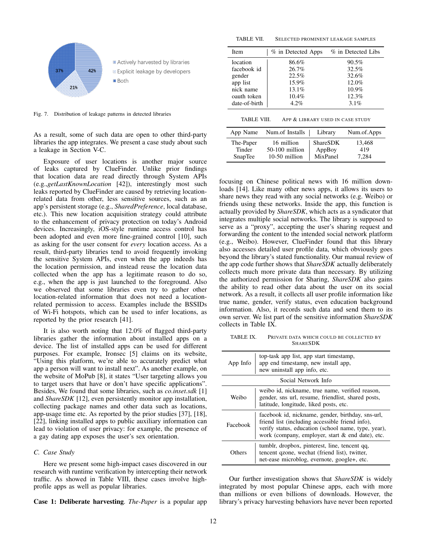

Fig. 7. Distribution of leakage patterns in detected libraries

As a result, some of such data are open to other third-party libraries the app integrates. We present a case study about such a leakage in Section V-C.

Exposure of user locations is another major source of leaks captured by ClueFinder. Unlike prior findings that location data are read directly through System APIs (e.g.,*getLastKnownLocation* [42]), interestingly most such leaks reported by ClueFinder are caused by retrieving locationrelated data from other, less sensitive sources, such as an app's persistent storage (e.g., *SharedPreference*, local database, etc.). This new location acquisition strategy could attribute to the enhancement of privacy protection on today's Android devices. Increasingly, iOS-style runtime access control has been adopted and even more fine-grained control [10], such as asking for the user consent for *every* location access. As a result, third-party libraries tend to avoid frequently invoking the sensitive System APIs, even when the app indeeds has the location permission, and instead reuse the location data collected when the app has a legitimate reason to do so, e.g., when the app is just launched to the foreground. Also we observed that some libraries even try to gather other location-related information that does not need a locationrelated permission to access. Examples include the BSSIDs of Wi-Fi hotspots, which can be used to infer locations, as reported by the prior research [41].

It is also worth noting that 12.0% of flagged third-party libraries gather the information about installed apps on a device. The list of installed apps can be used for different purposes. For example, Ironsec [5] claims on its website, "Using this platform, we're able to accurately predict what app a person will want to install next". As another example, on the website of MoPub [8], it states "User targeting allows you to target users that have or don't have specific applications". Besides, We found that some libraries, such as *co.inset.sdk* [1] and *ShareSDK* [12], even persistently monitor app installation, collecting package names and other data such as locations, app-usage time etc. As reported by the prior studies [37], [18], [22], linking installed apps to public auxiliary information can lead to violation of user privacy: for example, the presence of a gay dating app exposes the user's sex orientation.

#### *C. Case Study*

Here we present some high-impact cases discovered in our research with runtime verification by intercepting their network traffic. As showed in Table VIII, these cases involve highprofile apps as well as popular libraries.

Case 1: Deliberate harvesting. *The-Paper* is a popular app

TABLE VII. SELECTED PROMINENT LEAKAGE SAMPLES

| <b>Item</b>   | % in Detected Apps | % in Detected Libs |
|---------------|--------------------|--------------------|
| location      | 86.6%              | $90.5\%$           |
| facebook id   | 26.7%              | 32.5%              |
| gender        | 22.5%              | 32.6%              |
| app list      | 15.9%              | 12.0%              |
| nick name     | 13.1%              | 10.9%              |
| oauth token   | 10.4%              | 12.3%              |
| date-of-birth | $4.2\%$            | 3.1%               |
|               |                    |                    |

| App Name  | Num.of Installs  | Library         | Num.of.Apps |
|-----------|------------------|-----------------|-------------|
| The-Paper | 16 million       | <b>ShareSDK</b> | 13,468      |
| Tinder    | $50-100$ million | AppBoy          | 419         |
| SnapTee   | 10-50 million    | MixPanel        | 7.284       |

focusing on Chinese political news with 16 million downloads [14]. Like many other news apps, it allows its users to share news they read with any social networks (e.g. Weibo) or friends using these networks. Inside the app, this function is actually provided by *ShareSDK*, which acts as a syndicator that integrates multiple social networks. The library is supposed to serve as a "proxy", accepting the user's sharing request and forwarding the content to the intended social network platform (e.g., Weibo). However, ClueFinder found that this library also accesses detailed user profile data, which obviously goes beyond the library's stated functionality. Our manual review of the app code further shows that *ShareSDK* actually deliberately collects much more private data than necessary. By utilizing the authorized permission for Sharing, *ShareSDK* also gains the ability to read other data about the user on its social network. As a result, it collects all user profile information like true name, gender, verify status, even education background information. Also, it records such data and send them to its own server. We list part of the sensitive information *ShareSDK* collects in Table IX.

TABLE IX. PRIVATE DATA WHICH COULD BE COLLECTED BY SHARESDK

| App Info | top-task app list, app start timestamp,<br>app end timestamp, new install app,<br>new uninstall app info, etc.                                                                                                  |
|----------|-----------------------------------------------------------------------------------------------------------------------------------------------------------------------------------------------------------------|
|          | Social Network Info                                                                                                                                                                                             |
| Weibo    | weibo id, nickname, true name, verified reason,<br>gender, sns url, resume, friendlist, shared posts,<br>latitude, longitude, liked posts, etc.                                                                 |
| Facebook | facebook id, nickname, gender, birthday, sns-url,<br>friend list (including accessible friend info),<br>verify status, education (school name, type, year),<br>work (company, employer, start & end date), etc. |
| Others)  | tumblr, dropbox, pinterest, line, tencent qq,<br>tencent qzone, wechat (friend list), twitter,<br>net-ease microblog, evernote, google+, etc.                                                                   |

Our further investigation shows that *ShareSDK* is widely integrated by most popular Chinese apps, each with more than millions or even billions of downloads. However, the library's privacy harvesting behaviors have never been reported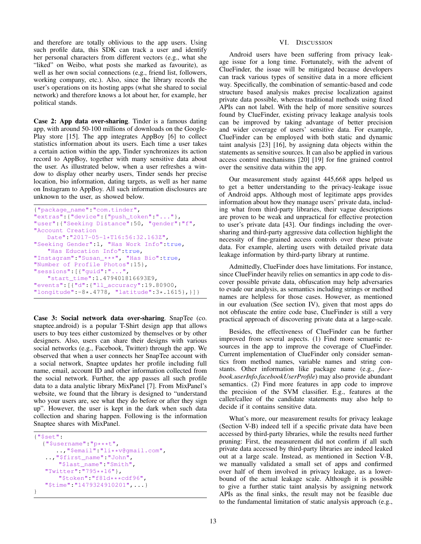and therefore are totally oblivious to the app users. Using such profile data, this SDK can track a user and identify her personal characters from different vectors (e.g., what she "liked" on Weibo, what posts she marked as favourite), as well as her own social connections (e,g., friend list, followers, working company, etc.). Also, since the library records the user's operations on its hosting apps (what she shared to social network) and therefore knows a lot about her, for example, her political stands.

Case 2: App data over-sharing. Tinder is a famous dating app, with around 50-100 millions of downloads on the Google-Play store [15]. The app integrates AppBoy [6] to collect statistics information about its users. Each time a user takes a certain action within the app, Tinder synchronizes its action record to AppBoy, together with many sensitive data about the user. As illustrated below, when a user refreshes a window to display other nearby users, Tinder sends her precise location, bio information, dating targets, as well as her name on Instagram to AppBoy. All such information disclosures are unknown to the user, as showed below.

```
{"package_name":"com.tinder",
"extras":{"device":{"push_token":"..."},
"user":{"Seeking Distance":50, "gender":"f",
"Account Creation
   Date":"2017-05-1*T16:56:32.163Z",
"Seeking Gender":1, "Has Work Info":true,
   "Has Education Info":true,
"Instagram":"Susan_***", "Has Bio":true,
"Number of Profile Photos":15},
"sessions":[{"guid":"...",
   "start_time":1.479401816693E9,
"events":[{"d":{"ll_accuracy":19.80900,
"longitude":-8*.4778, "latitude":3*.1615},}]}
```
Case 3: Social network data over-sharing. SnapTee (co. snaptee.android) is a popular T-Shirt design app that allows users to buy tees either customized by themselves or by other designers. Also, users can share their designs with various social networks (e.g., Facebook, Twitter) through the app. We observed that when a user connects her SnapTee account with a social network, Snaptee updates her profile including full name, email, account ID and other information collected from the social network. Further, the app passes all such profile data to a data analytic library MixPanel [7]. From MixPanel's website, we found that the library is designed to "understand who your users are, see what they do before or after they sign up". However, the user is kept in the dark when such data collection and sharing happen. Following is the information Snaptee shares with MixPanel.

```
{"$set":
  {"$username":"p***t",
     ..,"$email":"li**v@gmail.com",
   ..,"$first_name":"John",
      "$last_name":"Smith",
   "Twitter":"795**16"},
       "$token":"f81d***cdf96",
   "$time":"1479324910201",...}
}
```
## VI. DISCUSSION

Android users have been suffering from privacy leakage issue for a long time. Fortunately, with the advent of ClueFinder, the issue will be mitigated because developers can track various types of sensitive data in a more efficient way. Specifically, the combination of semantic-based and code structure based analysis makes precise localization against private data possible, whereas traditional methods using fixed APIs can not label. With the help of more sensitive sources found by ClueFinder, existing privacy leakage analysis tools can be improved by taking advantage of better precision and wider coverage of users' sensitive data. For example, ClueFinder can be employed with both static and dynamic taint analysis [23] [16], by assigning data objects within the statements as sensitive sources. It can also be applied in various access control mechanisms [20] [19] for fine grained control over the sensitive data within the app.

Our measurement study against 445,668 apps helped us to get a better understanding to the privacy-leakage issue of Android apps. Although most of legitimate apps provides information about how they manage users' private data, including what from third-party libraries, their vague descriptions are proven to be weak and unpractical for effective protection to user's private data [43]. Our findings including the oversharing and third-party aggressive data collection highlight the necessity of fine-grained access controls over these private data. For example, alerting users with detailed private data leakage information by third-party library at runtime.

Admittedly, ClueFinder does have limitations. For instance, since ClueFinder heavily relies on semantics in app code to discover possible private data, obfuscation may help adversaries to evade our analysis, as semantics including strings or method names are helpless for those cases. However, as mentioned in our evaluation (See section IV), given that most apps do not obfuscate the entire code base, ClueFinder is still a very practical approach of discovering private data at a large-scale.

Besides, the effectiveness of ClueFinder can be further improved from several aspects. (1) Find more semantic resources in the app to improve the coverage of ClueFinder. Current implementation of ClueFinder only consider semantics from method names, variable names and string constants. Other information like package name (e.g., *facebook.userInfo.facebookUserProfile*) may also provide abundant semantics. (2) Find more features in app code to improve the precision of the SVM classifier. E.g., features at the caller/callee of the candidate statements may also help to decide if it contains sensitive data.

What's more, our measurement results for privacy leakage (Section V-B) indeed tell if a specific private data have been accessed by third-party libraries, while the results need further pruning: First, the measurement did not confirm if all such private data accessed by third-party libraries are indeed leaked out at a large scale. Instead, as mentioned in Section V-B, we manually validated a small set of apps and confirmed over half of them involved in privacy leakage, as a lowerbound of the actual leakage scale. Although it is possible to give a further static taint analysis by assigning network APIs as the final sinks, the result may not be feasible due to the fundamental limitation of static analysis approach (e.g.,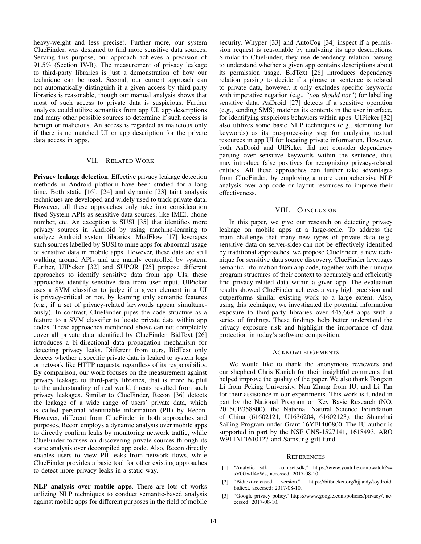heavy-weight and less precise). Further more, our system ClueFinder, was designed to find more sensitive data sources. Serving this purpose, our approach achieves a precision of 91.5% (Section IV-B). The measurement of privacy leakage to third-party libraries is just a demonstration of how our technique can be used. Second, our current approach can not automatically distinguish if a given access by third-party libraries is reasonable, though our manual analysis shows that most of such access to private data is suspicious. Further analysis could utilize semantics from app UI, app descriptions and many other possible sources to determine if such access is benign or malicious. An access is regarded as malicious only if there is no matched UI or app description for the private data access in apps.

#### VII. RELATED WORK

Privacy leakage detection. Effective privacy leakage detection methods in Android platform have been studied for a long time. Both static [16], [24] and dynamic [23] taint analysis techniques are developed and widely used to track private data. However, all these approaches only take into consideration fixed System APIs as sensitive data sources, like IMEI, phone number, etc. An exception is SUSI [35] that identifies more privacy sources in Android by using machine-learning to analyze Android system libraries. MudFlow [17] leverages such sources labelled by SUSI to mine apps for abnormal usage of sensitive data in mobile apps. However, these data are still walking around APIs and are mainly controlled by system. Further, UIPicker [32] and SUPOR [25] propose different approaches to identify sensitive data from app UIs, these approaches identify sensitive data from user input. UIPicker uses a SVM classifier to judge if a given element in a UI is privacy-critical or not, by learning only semantic features (e.g., if a set of privacy-related keywords appear simultaneously). In contrast, ClueFinder pipes the code structure as a feature to a SVM classifier to locate private data within app codes. These approaches mentioned above can not completely cover all private data identified by ClueFinder. BidText [26] introduces a bi-directional data propagation mechanism for detecting privacy leaks. Different from ours, BidText only detects whether a specific private data is leaked to system logs or network like HTTP requests, regardless of its responsibility. By comparison, our work focuses on the measurement against privacy leakage to third-party libraries, that is more helpful to the understanding of real world threats resulted from such privacy leakages. Similar to ClueFinder, Recon [36] detects the leakage of a wide range of users' private data, which is called personal identifiable information (PII) by Recon. However, different from ClueFinder in both approaches and purposes, Recon employs a dynamic analysis over mobile apps to directly confirm leaks by monitoring network traffic, while ClueFinder focuses on discovering private sources through its static analysis over decompiled app code. Also, Recon directly enables users to view PII leaks from network flows, while ClueFinder provides a basic tool for other existing approaches to detect more privacy leaks in a static way.

NLP analysis over mobile apps. There are lots of works utilizing NLP techniques to conduct semantic-based analysis against mobile apps for different purposes in the field of mobile security. Whyper [33] and AutoCog [34] inspect if a permission request is reasonable by analyzing its app descriptions. Similar to ClueFinder, they use dependency relation parsing to understand whether a given app contains descriptions about its permission usage. BidText [26] introduces dependency relation parsing to decide if a phrase or sentence is related to private data, however, it only excludes specific keywords with imperative negation (e.g., *"you should not"*) for labelling sensitive data. AsDroid [27] detects if a sensitive operation (e.g., sending SMS) matches its contents in the user interface, for identifying suspicious behaviors within apps. UIPicker [32] also utilizes some basic NLP techniques (e.g., stemming for keywords) as its pre-processing step for analysing textual resources in app UI for locating private information. However, both AsDroid and UIPicker did not consider dependency parsing over sensitive keywords within the sentence, thus may introduce false positives for recognizing privacy-related entities. All these approaches can further take advantages from ClueFinder, by employing a more comprehensive NLP analysis over app code or layout resources to improve their effectiveness.

#### VIII. CONCLUSION

In this paper, we give our research on detecting privacy leakage on mobile apps at a large-scale. To address the main challenge that many new types of private data (e.g., sensitive data on server-side) can not be effectively identified by traditional approaches, we propose ClueFinder, a new technique for sensitive data source discovery. ClueFinder leverages semantic information from app code, together with their unique program structures of their context to accurately and efficiently find privacy-related data within a given app. The evaluation results showed ClueFinder achieves a very high precision and outperforms similar existing work to a large extent. Also, using this technique, we investigated the potential information exposure to third-party libraries over 445,668 apps with a series of findings. These findings help better understand the privacy exposure risk and highlight the importance of data protection in today's software composition.

#### ACKNOWLEDGEMENTS

We would like to thank the anonymous reviewers and our shepherd Chris Kanich for their insightful comments that helped improve the quality of the paper. We also thank Tongxin Li from Peking University, Nan Zhang from IU, and Li Tan for their assistance in our experiments. This work is funded in part by the National Program on Key Basic Research (NO. 2015CB358800), the National Natural Science Foundation of China (61602121, U1636204, 61602123), the Shanghai Sailing Program under Grant 16YF1400800. The IU author is supported in part by the NSF CNS-1527141, 1618493, ARO W911NF1610127 and Samsung gift fund.

#### **REFERENCES**

- [1] "Analytic sdk : co.inset.sdk," https://www.youtube.com/watch?v= sV0GwIl4oWs, accessed: 2017-08-10.
- [2] "Bidtext-released version," https://bitbucket.org/hjjandy/toydroid. bidtext, accessed: 2017-08-10.
- [3] "Google privacy policy," https://www.google.com/policies/privacy/, accessed: 2017-08-10.